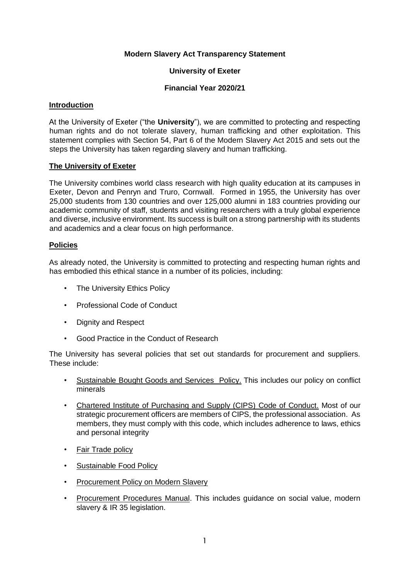### **Modern Slavery Act Transparency Statement**

#### **University of Exeter**

### **Financial Year 2020/21**

#### **Introduction**

At the University of Exeter ("the **University**"), we are committed to protecting and respecting human rights and do not tolerate slavery, human trafficking and other exploitation. This statement complies with Section 54, Part 6 of the Modern Slavery Act 2015 and sets out the steps the University has taken regarding slavery and human trafficking.

#### **The University of Exeter**

The University combines world class research with high quality education at its campuses in Exeter, Devon and Penryn and Truro, Cornwall. Formed in 1955, the University has over 25,000 students from 130 countries and over 125,000 alumni in 183 countries providing our academic community of staff, students and visiting researchers with a truly global experience and diverse, inclusive environment. Its success is built on a strong partnership with its students and academics and a clear focus on high performance.

#### **Policies**

As already noted, the University is committed to protecting and respecting human rights and has embodied this ethical stance in a number of its policies, including:

- The University Ethics Policy
- Professional Code of Conduct
- Dignity and Respect
- Good Practice in the Conduct of Research

The University has several policies that set out standards for procurement and suppliers. These include:

- [Sustainable Bought Goods and Services Policy](https://www.exeter.ac.uk/media/universityofexeter/financeservices/secure/University_of_Exeter_Sustainable_Bought_Goods_and_Services_Policy_NEW.pdf)[.](http://www.exeter.ac.uk/media/universityofexeter/financeservices/procurement/C_1_1_V4_Policy_-_Sustainable_Procurement_JCM_2014-05-28.doc) This includes our policy on conflict minerals
- Chartered Institute of Purchasing and Supply (CIPS) [Code of Conduct.](http://www.exeter.ac.uk/finance/procurement/policiesandprocedures/professionalcodeofethics/) Most of our strategic procurement officers are members of CIPS, the professional association. As members, they must comply with this code, which includes adherence to laws, ethics and personal integrity
- [Fair Trade policy](http://www.exeter.ac.uk/media/universityofexeter/campusservices/sustainability/pdf/2016_Fairtrade_Policy_vFinal.pdf)
- [Sustainable Food Policy](http://www.exeter.ac.uk/media/universityofexeter/campusservices/sustainability/pdf/2015_Sustainable_Food_Policy.pdf)
- **Procurement Policy on Modern Slavery**
- Procurement Procedures Manual. This includes guidance on social value, modern slavery & IR 35 legislation.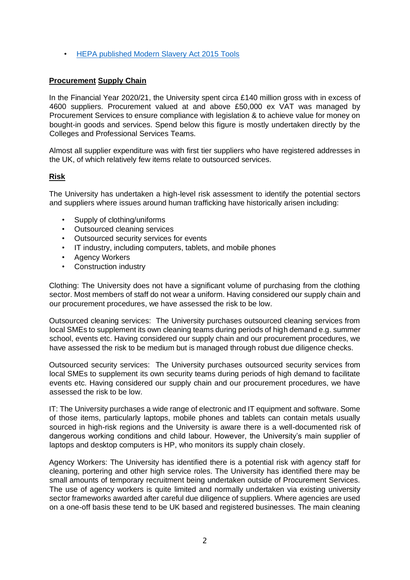• [HEPA published Modern Slavery Act 2015 Tools](https://www.lupc.ac.uk/sites/default/files/Modern%20Slavery%20Tools-FINAL%201.1.pdf)

## **Procurement Supply Chain**

In the Financial Year 2020/21, the University spent circa £140 million gross with in excess of 4600 suppliers. Procurement valued at and above £50,000 ex VAT was managed by Procurement Services to ensure compliance with legislation & to achieve value for money on bought-in goods and services. Spend below this figure is mostly undertaken directly by the Colleges and Professional Services Teams.

Almost all supplier expenditure was with first tier suppliers who have registered addresses in the UK, of which relatively few items relate to outsourced services.

## **Risk**

The University has undertaken a high-level risk assessment to identify the potential sectors and suppliers where issues around human trafficking have historically arisen including:

- Supply of clothing/uniforms
- Outsourced cleaning services
- Outsourced security services for events
- IT industry, including computers, tablets, and mobile phones
- **Agency Workers**
- Construction industry

Clothing: The University does not have a significant volume of purchasing from the clothing sector. Most members of staff do not wear a uniform. Having considered our supply chain and our procurement procedures, we have assessed the risk to be low.

Outsourced cleaning services: The University purchases outsourced cleaning services from local SMEs to supplement its own cleaning teams during periods of high demand e.g. summer school, events etc. Having considered our supply chain and our procurement procedures, we have assessed the risk to be medium but is managed through robust due diligence checks.

Outsourced security services: The University purchases outsourced security services from local SMEs to supplement its own security teams during periods of high demand to facilitate events etc. Having considered our supply chain and our procurement procedures, we have assessed the risk to be low.

IT: The University purchases a wide range of electronic and IT equipment and software. Some of those items, particularly laptops, mobile phones and tablets can contain metals usually sourced in high-risk regions and the University is aware there is a well-documented risk of dangerous working conditions and child labour. However, the University's main supplier of laptops and desktop computers is HP, who monitors its supply chain closely.

Agency Workers: The University has identified there is a potential risk with agency staff for cleaning, portering and other high service roles. The University has identified there may be small amounts of temporary recruitment being undertaken outside of Procurement Services. The use of agency workers is quite limited and normally undertaken via existing university sector frameworks awarded after careful due diligence of suppliers. Where agencies are used on a one-off basis these tend to be UK based and registered businesses. The main cleaning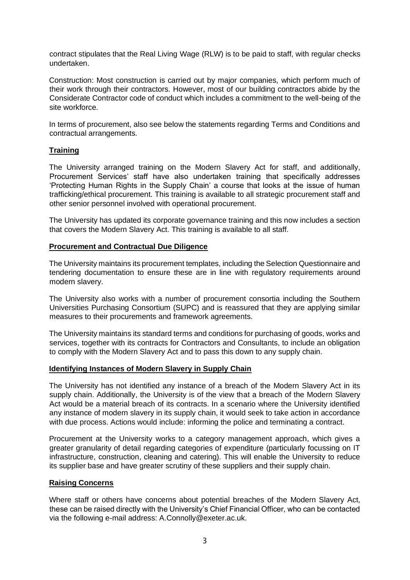contract stipulates that the Real Living Wage (RLW) is to be paid to staff, with regular checks undertaken.

Construction: Most construction is carried out by major companies, which perform much of their work through their contractors. However, most of our building contractors abide by the Considerate Contractor code of conduct which includes a commitment to the well-being of the site workforce.

In terms of procurement, also see below the statements regarding Terms and Conditions and contractual arrangements.

## **Training**

The University arranged training on the Modern Slavery Act for staff, and additionally, Procurement Services' staff have also undertaken training that specifically addresses 'Protecting Human Rights in the Supply Chain' a course that looks at the issue of human trafficking/ethical procurement. This training is available to all strategic procurement staff and other senior personnel involved with operational procurement.

The University has updated its corporate governance training and this now includes a section that covers the Modern Slavery Act. This training is available to all staff.

## **Procurement and Contractual Due Diligence**

The University maintains its procurement templates, including the Selection Questionnaire and tendering documentation to ensure these are in line with regulatory requirements around modern slavery.

The University also works with a number of procurement consortia including the Southern Universities Purchasing Consortium (SUPC) and is reassured that they are applying similar measures to their procurements and framework agreements.

The University maintains its standard terms and conditions for purchasing of goods, works and services, together with its contracts for Contractors and Consultants, to include an obligation to comply with the Modern Slavery Act and to pass this down to any supply chain.

#### **Identifying Instances of Modern Slavery in Supply Chain**

The University has not identified any instance of a breach of the Modern Slavery Act in its supply chain. Additionally, the University is of the view that a breach of the Modern Slavery Act would be a material breach of its contracts. In a scenario where the University identified any instance of modern slavery in its supply chain, it would seek to take action in accordance with due process. Actions would include: informing the police and terminating a contract.

Procurement at the University works to a category management approach, which gives a greater granularity of detail regarding categories of expenditure (particularly focussing on IT infrastructure, construction, cleaning and catering). This will enable the University to reduce its supplier base and have greater scrutiny of these suppliers and their supply chain.

## **Raising Concerns**

Where staff or others have concerns about potential breaches of the Modern Slavery Act, these can be raised directly with the University's Chief Financial Officer, who can be contacted via the following e-mail address: A.Connolly@exeter.ac.uk.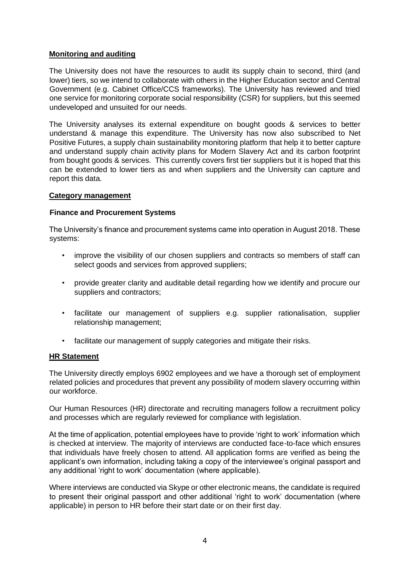## **Monitoring and auditing**

The University does not have the resources to audit its supply chain to second, third (and lower) tiers, so we intend to collaborate with others in the Higher Education sector and Central Government (e.g. Cabinet Office/CCS frameworks). The University has reviewed and tried one service for monitoring corporate social responsibility (CSR) for suppliers, but this seemed undeveloped and unsuited for our needs.

The University analyses its external expenditure on bought goods & services to better understand & manage this expenditure. The University has now also subscribed to Net Positive Futures, a supply chain sustainability monitoring platform that help it to better capture and understand supply chain activity plans for Modern Slavery Act and its carbon footprint from bought goods & services. This currently covers first tier suppliers but it is hoped that this can be extended to lower tiers as and when suppliers and the University can capture and report this data.

## **Category management**

## **Finance and Procurement Systems**

The University's finance and procurement systems came into operation in August 2018. These systems:

- improve the visibility of our chosen suppliers and contracts so members of staff can select goods and services from approved suppliers;
- provide greater clarity and auditable detail regarding how we identify and procure our suppliers and contractors;
- facilitate our management of suppliers e.g. supplier rationalisation, supplier relationship management;
- facilitate our management of supply categories and mitigate their risks.

## **HR Statement**

The University directly employs 6902 employees and we have a thorough set of employment related policies and procedures that prevent any possibility of modern slavery occurring within our workforce.

Our Human Resources (HR) directorate and recruiting managers follow a recruitment policy and processes which are regularly reviewed for compliance with legislation.

At the time of application, potential employees have to provide 'right to work' information which is checked at interview. The majority of interviews are conducted face-to-face which ensures that individuals have freely chosen to attend. All application forms are verified as being the applicant's own information, including taking a copy of the interviewee's original passport and any additional 'right to work' documentation (where applicable).

Where interviews are conducted via Skype or other electronic means, the candidate is required to present their original passport and other additional 'right to work' documentation (where applicable) in person to HR before their start date or on their first day.